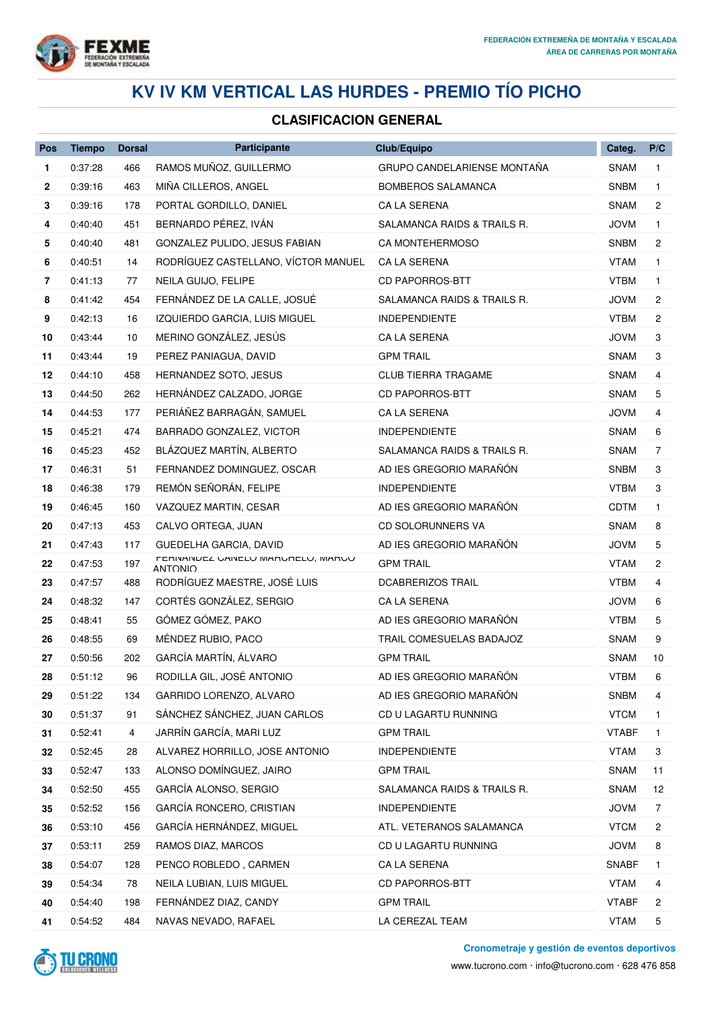

# **KV IV KM VERTICAL LAS HURDES - PREMIO TÍO PICHO**

### **CLASIFICACION GENERAL**

| Pos | <b>Tiempo</b> | <b>Dorsal</b> | Participante                                          | Club/Equipo                 | Categ.       | P/C            |
|-----|---------------|---------------|-------------------------------------------------------|-----------------------------|--------------|----------------|
| 1   | 0:37:28       | 466           | RAMOS MUÑOZ, GUILLERMO                                | GRUPO CANDELARIENSE MONTAÑA | <b>SNAM</b>  | 1              |
| 2   | 0:39:16       | 463           | MIÑA CILLEROS, ANGEL                                  | <b>BOMBEROS SALAMANCA</b>   | <b>SNBM</b>  | 1.             |
| 3   | 0:39:16       | 178           | PORTAL GORDILLO, DANIEL                               | <b>CA LA SERENA</b>         | <b>SNAM</b>  | $\overline{2}$ |
| 4   | 0:40:40       | 451           | BERNARDO PÉREZ, IVÁN                                  | SALAMANCA RAIDS & TRAILS R. | <b>JOVM</b>  | $\mathbf{1}$   |
| 5   | 0:40:40       | 481           | GONZALEZ PULIDO, JESUS FABIAN                         | CA MONTEHERMOSO             | <b>SNBM</b>  | $\overline{c}$ |
| 6   | 0:40:51       | 14            | RODRÍGUEZ CASTELLANO, VÍCTOR MANUEL                   | CA LA SERENA                | <b>VTAM</b>  | $\mathbf{1}$   |
| 7   | 0:41:13       | 77            | NEILA GUIJO, FELIPE                                   | <b>CD PAPORROS-BTT</b>      | <b>VTBM</b>  | $\mathbf{1}$   |
| 8   | 0:41:42       | 454           | FERNÁNDEZ DE LA CALLE, JOSUÉ                          | SALAMANCA RAIDS & TRAILS R. | JOVM         | 2              |
| 9   | 0:42:13       | 16            | IZQUIERDO GARCIA, LUIS MIGUEL                         | <b>INDEPENDIENTE</b>        | <b>VTBM</b>  | $\overline{c}$ |
| 10  | 0:43:44       | 10            | MERINO GONZÁLEZ, JESÚS                                | CA LA SERENA                | <b>JOVM</b>  | 3              |
| 11  | 0:43:44       | 19            | PEREZ PANIAGUA, DAVID                                 | <b>GPM TRAIL</b>            | SNAM         | 3              |
| 12  | 0:44:10       | 458           | HERNANDEZ SOTO, JESUS                                 | <b>CLUB TIERRA TRAGAME</b>  | <b>SNAM</b>  | 4              |
| 13  | 0:44:50       | 262           | HERNÁNDEZ CALZADO, JORGE                              | CD PAPORROS-BTT             | <b>SNAM</b>  | 5              |
| 14  | 0:44:53       | 177           | PERIÁÑEZ BARRAGÁN, SAMUEL                             | CA LA SERENA                | <b>JOVM</b>  | 4              |
| 15  | 0:45:21       | 474           | BARRADO GONZALEZ, VICTOR                              | <b>INDEPENDIENTE</b>        | <b>SNAM</b>  | 6              |
| 16  | 0:45:23       | 452           | BLÁZQUEZ MARTÍN, ALBERTO                              | SALAMANCA RAIDS & TRAILS R. | <b>SNAM</b>  | $\overline{7}$ |
| 17  | 0:46:31       | 51            | FERNANDEZ DOMINGUEZ, OSCAR                            | AD IES GREGORIO MARAÑÓN     | <b>SNBM</b>  | 3              |
| 18  | 0:46:38       | 179           | REMÓN SEÑORÁN, FELIPE                                 | <b>INDEPENDIENTE</b>        | <b>VTBM</b>  | 3              |
| 19  | 0:46:45       | 160           | VAZQUEZ MARTIN, CESAR                                 | AD IES GREGORIO MARAÑÓN     | <b>CDTM</b>  | $\mathbf{1}$   |
| 20  | 0:47:13       | 453           | CALVO ORTEGA, JUAN                                    | CD SOLORUNNERS VA           | SNAM         | 8              |
| 21  | 0:47:43       | 117           | GUEDELHA GARCIA, DAVID                                | AD IES GREGORIO MARAÑÓN     | <b>JOVM</b>  | 5              |
| 22  | 0:47:53       | 197           | FERIVAIVUEZ UAIVELU MARURELU, MARUU<br><b>ANTONIO</b> | <b>GPM TRAIL</b>            | <b>VTAM</b>  | $\overline{c}$ |
| 23  | 0:47:57       | 488           | RODRÍGUEZ MAESTRE, JOSÉ LUIS                          | <b>DCABRERIZOS TRAIL</b>    | <b>VTBM</b>  | 4              |
| 24  | 0:48:32       | 147           | CORTÉS GONZÁLEZ, SERGIO                               | CA LA SERENA                | <b>JOVM</b>  | 6              |
| 25  | 0:48:41       | 55            | GÓMEZ GÓMEZ, PAKO                                     | AD IES GREGORIO MARAÑÓN     | <b>VTBM</b>  | 5              |
| 26  | 0:48:55       | 69            | MÉNDEZ RUBIO, PACO                                    | TRAIL COMESUELAS BADAJOZ    | <b>SNAM</b>  | 9              |
| 27  | 0:50:56       | 202           | GARCÍA MARTÍN, ÁLVARO                                 | <b>GPM TRAIL</b>            | <b>SNAM</b>  | 10             |
| 28  | 0:51:12       | 96            | RODILLA GIL, JOSÉ ANTONIO                             | AD IES GREGORIO MARAÑÓN     | <b>VTBM</b>  | 6              |
| 29  | 0:51:22       | 134           | GARRIDO LORENZO, ALVARO                               | AD IES GREGORIO MARAÑÓN     | <b>SNBM</b>  | 4              |
| 30  | 0:51:37       | 91            | SÁNCHEZ SÁNCHEZ, JUAN CARLOS                          | CD U LAGARTU RUNNING        | <b>VTCM</b>  | 1.             |
| 31  | 0:52:41       | 4             | JARRÍN GARCÍA, MARI LUZ                               | <b>GPM TRAIL</b>            | <b>VTABF</b> | 1.             |
| 32  | 0:52:45       | 28            | ALVAREZ HORRILLO, JOSE ANTONIO                        | <b>INDEPENDIENTE</b>        | <b>VTAM</b>  | 3              |
| 33  | 0:52:47       | 133           | ALONSO DOMÍNGUEZ, JAIRO                               | <b>GPM TRAIL</b>            | SNAM         | 11             |
| 34  | 0:52:50       | 455           | GARCÍA ALONSO, SERGIO                                 | SALAMANCA RAIDS & TRAILS R. | <b>SNAM</b>  | 12             |
| 35  | 0:52:52       | 156           | GARCÍA RONCERO, CRISTIAN                              | <b>INDEPENDIENTE</b>        | <b>JOVM</b>  | 7              |
| 36  | 0:53:10       | 456           | GARCÍA HERNÁNDEZ, MIGUEL                              | ATL. VETERANOS SALAMANCA    | <b>VTCM</b>  | 2              |
| 37  | 0:53:11       | 259           | RAMOS DIAZ, MARCOS                                    | CD U LAGARTU RUNNING        | <b>JOVM</b>  | 8              |
| 38  | 0:54:07       | 128           | PENCO ROBLEDO, CARMEN                                 | CA LA SERENA                | <b>SNABF</b> | 1              |
| 39  | 0:54:34       | 78            | NEILA LUBIAN, LUIS MIGUEL                             | <b>CD PAPORROS-BTT</b>      | <b>VTAM</b>  | 4              |
| 40  | 0:54:40       | 198           | FERNÁNDEZ DIAZ, CANDY                                 | <b>GPM TRAIL</b>            | <b>VTABF</b> | 2              |
| 41  | 0:54:52       | 484           | NAVAS NEVADO, RAFAEL                                  | LA CEREZAL TEAM             | <b>VTAM</b>  | 5              |



**Cronometraje y gestión de eventos deportivos**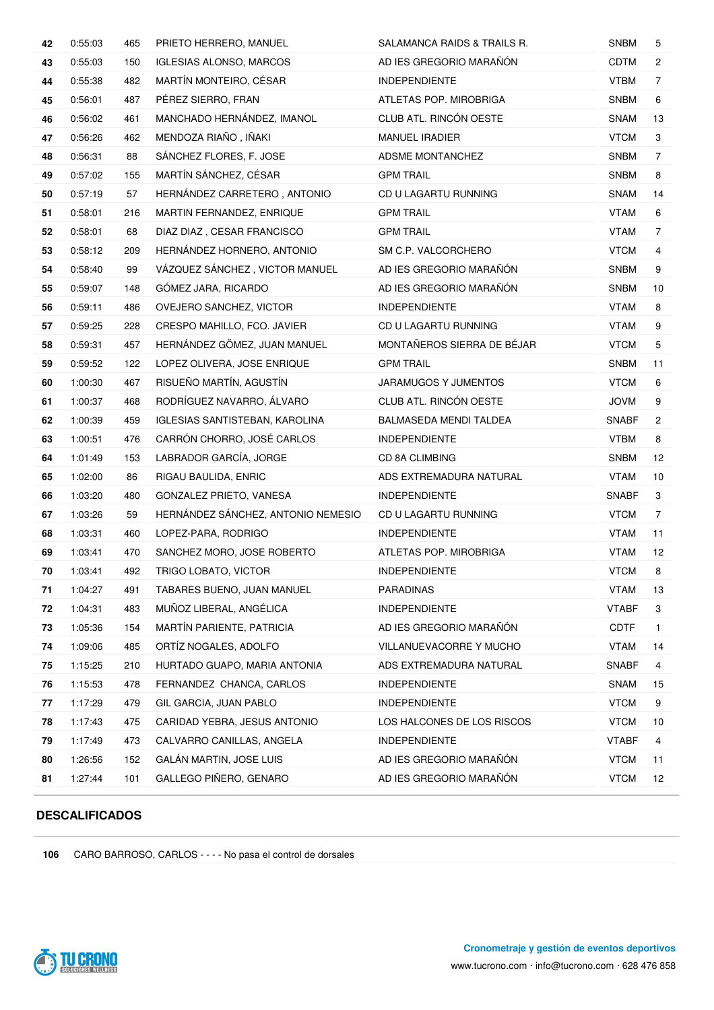| 42 | 0:55:03 | 465 | PRIETO HERRERO, MANUEL                | SALAMANCA RAIDS & TRAILS R. | <b>SNBM</b>  | 5              |
|----|---------|-----|---------------------------------------|-----------------------------|--------------|----------------|
| 43 | 0:55:03 | 150 | <b>IGLESIAS ALONSO, MARCOS</b>        | AD IES GREGORIO MARAÑÓN     | <b>CDTM</b>  | $\mathbf{2}$   |
| 44 | 0:55:38 | 482 | MARTÍN MONTEIRO, CÉSAR                | <b>INDEPENDIENTE</b>        | <b>VTBM</b>  | $\overline{7}$ |
| 45 | 0:56:01 | 487 | PÉREZ SIERRO, FRAN                    | ATLETAS POP. MIROBRIGA      | <b>SNBM</b>  | 6              |
| 46 | 0:56:02 | 461 | MANCHADO HERNÁNDEZ, IMANOL            | CLUB ATL. RINCÓN OESTE      | SNAM         | 13             |
| 47 | 0:56:26 | 462 | MENDOZA RIAÑO, IÑAKI                  | <b>MANUEL IRADIER</b>       | <b>VTCM</b>  | 3              |
| 48 | 0:56:31 | 88  | SÁNCHEZ FLORES, F. JOSE               | <b>ADSME MONTANCHEZ</b>     | <b>SNBM</b>  | $\overline{7}$ |
| 49 | 0:57:02 | 155 | MARTÍN SÁNCHEZ, CÉSAR                 | <b>GPM TRAIL</b>            | <b>SNBM</b>  | 8              |
| 50 | 0:57:19 | 57  | HERNÁNDEZ CARRETERO, ANTONIO          | CD U LAGARTU RUNNING        | SNAM         | 14             |
| 51 | 0:58:01 | 216 | MARTIN FERNANDEZ, ENRIQUE             | <b>GPM TRAIL</b>            | <b>VTAM</b>  | 6              |
| 52 | 0:58:01 | 68  | DIAZ DIAZ, CESAR FRANCISCO            | <b>GPM TRAIL</b>            | VTAM         | $\overline{7}$ |
| 53 | 0:58:12 | 209 | HERNÁNDEZ HORNERO, ANTONIO            | SM C.P. VALCORCHERO         | <b>VTCM</b>  | 4              |
| 54 | 0:58:40 | 99  | VÁZQUEZ SÁNCHEZ, VICTOR MANUEL        | AD IES GREGORIO MARAÑÓN     | <b>SNBM</b>  | 9              |
| 55 | 0:59:07 | 148 | GÓMEZ JARA, RICARDO                   | AD IES GREGORIO MARAÑÓN     | <b>SNBM</b>  | 10             |
| 56 | 0:59:11 | 486 | OVEJERO SANCHEZ, VICTOR               | <b>INDEPENDIENTE</b>        | <b>VTAM</b>  | 8              |
| 57 | 0:59:25 | 228 | CRESPO MAHILLO, FCO. JAVIER           | CD U LAGARTU RUNNING        | <b>VTAM</b>  | 9              |
| 58 | 0:59:31 | 457 | HERNÁNDEZ GÖMEZ, JUAN MANUEL          | MONTAÑEROS SIERRA DE BÉJAR  | <b>VTCM</b>  | 5              |
| 59 | 0:59:52 | 122 | LOPEZ OLIVERA, JOSE ENRIQUE           | <b>GPM TRAIL</b>            | <b>SNBM</b>  | 11             |
| 60 | 1:00:30 | 467 | RISUEÑO MARTÍN, AGUSTÍN               | JARAMUGOS Y JUMENTOS        | <b>VTCM</b>  | 6              |
| 61 | 1:00:37 | 468 | RODRÍGUEZ NAVARRO, ÁLVARO             | CLUB ATL. RINCÓN OESTE      | <b>JOVM</b>  | 9              |
| 62 | 1:00:39 | 459 | <b>IGLESIAS SANTISTEBAN, KAROLINA</b> | BALMASEDA MENDI TALDEA      | <b>SNABF</b> | $\overline{2}$ |
| 63 | 1:00:51 | 476 | CARRÓN CHORRO, JOSÉ CARLOS            | <b>INDEPENDIENTE</b>        | <b>VTBM</b>  | 8              |
| 64 | 1:01:49 | 153 | LABRADOR GARCÍA, JORGE                | CD 8A CLIMBING              | <b>SNBM</b>  | 12             |
| 65 | 1:02:00 | 86  | RIGAU BAULIDA, ENRIC                  | ADS EXTREMADURA NATURAL     | <b>VTAM</b>  | 10             |
| 66 | 1:03:20 | 480 | GONZALEZ PRIETO, VANESA               | <b>INDEPENDIENTE</b>        | <b>SNABF</b> | 3              |
| 67 | 1:03:26 | 59  | HERNÁNDEZ SÁNCHEZ, ANTONIO NEMESIO    | CD U LAGARTU RUNNING        | <b>VTCM</b>  | $\overline{7}$ |
| 68 | 1:03:31 | 460 | LOPEZ-PARA, RODRIGO                   | <b>INDEPENDIENTE</b>        | <b>VTAM</b>  | 11             |
| 69 | 1:03:41 | 470 | SANCHEZ MORO, JOSE ROBERTO            | ATLETAS POP. MIROBRIGA      | <b>VTAM</b>  | 12             |
| 70 | 1:03:41 | 492 | TRIGO LOBATO, VICTOR                  | <b>INDEPENDIENTE</b>        | <b>VTCM</b>  | 8              |
| 71 | 1:04:27 | 491 | TABARES BUENO, JUAN MANUEL            | PARADINAS                   | <b>VTAM</b>  | 13             |
| 72 | 1:04:31 | 483 | MUÑOZ LIBERAL, ANGÉLICA               | INDEPENDIENTE               | <b>VTABF</b> | 3              |
| 73 | 1:05:36 | 154 | MARTÍN PARIENTE, PATRICIA             | AD IES GREGORIO MARAÑÓN     | <b>CDTF</b>  | 1              |
| 74 | 1:09:06 | 485 | ORTÍZ NOGALES, ADOLFO                 | VILLANUEVACORRE Y MUCHO     | <b>VTAM</b>  | 14             |
| 75 | 1:15:25 | 210 | HURTADO GUAPO, MARIA ANTONIA          | ADS EXTREMADURA NATURAL     | <b>SNABF</b> | 4              |
| 76 | 1:15:53 | 478 | FERNANDEZ CHANCA, CARLOS              | <b>INDEPENDIENTE</b>        | SNAM         | 15             |
| 77 | 1:17:29 | 479 | GIL GARCIA, JUAN PABLO                | <b>INDEPENDIENTE</b>        | <b>VTCM</b>  | 9              |
| 78 | 1:17:43 | 475 | CARIDAD YEBRA, JESUS ANTONIO          | LOS HALCONES DE LOS RISCOS  | <b>VTCM</b>  | 10             |
| 79 | 1:17:49 | 473 | CALVARRO CANILLAS, ANGELA             | <b>INDEPENDIENTE</b>        | <b>VTABF</b> | 4              |
| 80 | 1:26:56 | 152 | GALÁN MARTIN, JOSE LUIS               | AD IES GREGORIO MARAÑÓN     | <b>VTCM</b>  | 11             |
| 81 | 1:27:44 | 101 | GALLEGO PIÑERO, GENARO                | AD IES GREGORIO MARAÑÓN     | <b>VTCM</b>  | 12             |

#### **DESCALIFICADOS**

CARO BARROSO, CARLOS - - - - No pasa el control de dorsales

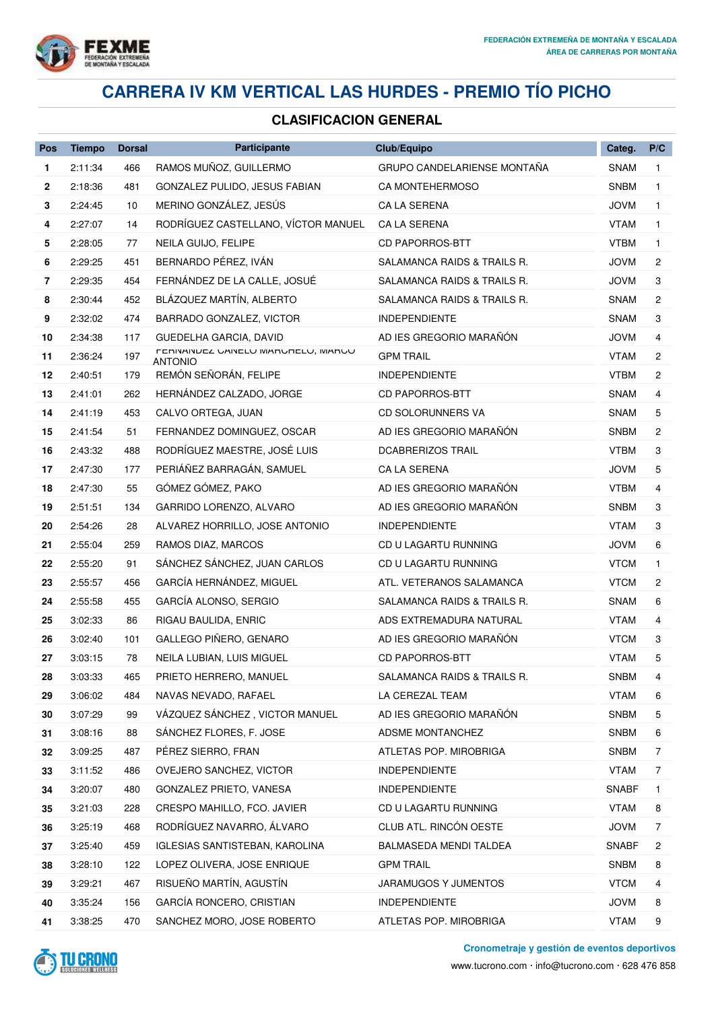

# **CARRERA IV KM VERTICAL LAS HURDES - PREMIO TÍO PICHO**

## **CLASIFICACION GENERAL**

| Pos          | <b>Tiempo</b> | <b>Dorsal</b> | Participante                                              | Club/Equipo                 | Categ.       | P/C            |
|--------------|---------------|---------------|-----------------------------------------------------------|-----------------------------|--------------|----------------|
| $\mathbf{1}$ | 2:11:34       | 466           | RAMOS MUÑOZ, GUILLERMO                                    | GRUPO CANDELARIENSE MONTAÑA | <b>SNAM</b>  | $\mathbf{1}$   |
| $\mathbf{2}$ | 2:18:36       | 481           | GONZALEZ PULIDO, JESUS FABIAN                             | <b>CA MONTEHERMOSO</b>      | <b>SNBM</b>  | $\mathbf{1}$   |
| 3            | 2:24:45       | 10            | MERINO GONZÁLEZ, JESÚS                                    | CA LA SERENA                | <b>JOVM</b>  | 1              |
| 4            | 2:27:07       | 14            | RODRÍGUEZ CASTELLANO, VÍCTOR MANUEL                       | CA LA SERENA                | VTAM         | $\mathbf{1}$   |
| 5            | 2:28:05       | 77            | NEILA GUIJO, FELIPE                                       | <b>CD PAPORROS-BTT</b>      | VTBM         | 1              |
| 6            | 2:29:25       | 451           | BERNARDO PÉREZ, IVÁN                                      | SALAMANCA RAIDS & TRAILS R. | <b>JOVM</b>  | $\overline{c}$ |
| 7            | 2:29:35       | 454           | FERNÁNDEZ DE LA CALLE, JOSUÉ                              | SALAMANCA RAIDS & TRAILS R. | JOVM         | 3              |
| 8            | 2:30:44       | 452           | BLÁZQUEZ MARTÍN, ALBERTO                                  | SALAMANCA RAIDS & TRAILS R. | SNAM         | $\overline{c}$ |
| 9            | 2:32:02       | 474           | BARRADO GONZALEZ, VICTOR                                  | <b>INDEPENDIENTE</b>        | SNAM         | 3              |
| 10           | 2:34:38       | 117           | GUEDELHA GARCIA, DAVID                                    | AD IES GREGORIO MARAÑÓN     | <b>JOVM</b>  | 4              |
| 11           | 2:36:24       | 197           | FERINAINDEZ UAINELU IVIARURELU, IVIARUU<br><b>ANTONIO</b> | <b>GPM TRAIL</b>            | VTAM         | $\overline{c}$ |
| 12           | 2:40:51       | 179           | REMÓN SEÑORÁN, FELIPE                                     | <b>INDEPENDIENTE</b>        | <b>VTBM</b>  | $\overline{c}$ |
| 13           | 2:41:01       | 262           | HERNÁNDEZ CALZADO, JORGE                                  | <b>CD PAPORROS-BTT</b>      | SNAM         | 4              |
| 14           | 2:41:19       | 453           | CALVO ORTEGA, JUAN                                        | CD SOLORUNNERS VA           | SNAM         | 5              |
| 15           | 2:41:54       | 51            | FERNANDEZ DOMINGUEZ, OSCAR                                | AD IES GREGORIO MARAÑÓN     | <b>SNBM</b>  | 2              |
| 16           | 2:43:32       | 488           | RODRÍGUEZ MAESTRE, JOSÉ LUIS                              | <b>DCABRERIZOS TRAIL</b>    | <b>VTBM</b>  | 3              |
| 17           | 2:47:30       | 177           | PERIÁÑEZ BARRAGÁN, SAMUEL                                 | <b>CA LA SERENA</b>         | JOVM         | 5              |
| 18           | 2:47:30       | 55            | GÓMEZ GÓMEZ, PAKO                                         | AD IES GREGORIO MARAÑÓN     | VTBM         | 4              |
| 19           | 2:51:51       | 134           | GARRIDO LORENZO, ALVARO                                   | AD IES GREGORIO MARAÑÓN     | <b>SNBM</b>  | 3              |
| 20           | 2:54:26       | 28            | ALVAREZ HORRILLO, JOSE ANTONIO                            | <b>INDEPENDIENTE</b>        | <b>VTAM</b>  | 3              |
| 21           | 2:55:04       | 259           | RAMOS DIAZ, MARCOS                                        | CD U LAGARTU RUNNING        | <b>JOVM</b>  | 6              |
| 22           | 2:55:20       | 91            | SÁNCHEZ SÁNCHEZ, JUAN CARLOS                              | CD U LAGARTU RUNNING        | <b>VTCM</b>  | $\mathbf{1}$   |
| 23           | 2:55:57       | 456           | GARCÍA HERNÁNDEZ, MIGUEL                                  | ATL. VETERANOS SALAMANCA    | <b>VTCM</b>  | 2              |
| 24           | 2:55:58       | 455           | GARCÍA ALONSO, SERGIO                                     | SALAMANCA RAIDS & TRAILS R. | <b>SNAM</b>  | 6              |
| 25           | 3:02:33       | 86            | RIGAU BAULIDA, ENRIC                                      | ADS EXTREMADURA NATURAL     | <b>VTAM</b>  | 4              |
| 26           | 3:02:40       | 101           | GALLEGO PIÑERO, GENARO                                    | AD IES GREGORIO MARAÑÓN     | <b>VTCM</b>  | 3              |
| 27           | 3:03:15       | 78            | NEILA LUBIAN, LUIS MIGUEL                                 | <b>CD PAPORROS-BTT</b>      | VTAM         | 5              |
| 28           | 3:03:33       | 465           | PRIETO HERRERO, MANUEL                                    | SALAMANCA RAIDS & TRAILS R. | SNBM         | 4              |
| 29           | 3:06:02       | 484           | NAVAS NEVADO, RAFAEL                                      | LA CEREZAL TEAM             | <b>VTAM</b>  | 6              |
| 30           | 3:07:29       | 99            | VÁZQUEZ SÁNCHEZ, VICTOR MANUEL                            | AD IES GREGORIO MARAÑÓN     | <b>SNBM</b>  | 5              |
| 31           | 3:08:16       | 88            | SÁNCHEZ FLORES, F. JOSE                                   | ADSME MONTANCHEZ            | SNBM         | 6              |
| 32           | 3:09:25       | 487           | PÉREZ SIERRO, FRAN                                        | ATLETAS POP. MIROBRIGA      | <b>SNBM</b>  | 7              |
| 33           | 3:11:52       | 486           | OVEJERO SANCHEZ, VICTOR                                   | <b>INDEPENDIENTE</b>        | <b>VTAM</b>  | 7              |
| 34           | 3:20:07       | 480           | GONZALEZ PRIETO, VANESA                                   | <b>INDEPENDIENTE</b>        | <b>SNABF</b> | 1.             |
| 35           | 3:21:03       | 228           | CRESPO MAHILLO, FCO. JAVIER                               | CD U LAGARTU RUNNING        | <b>VTAM</b>  | 8              |
| 36           | 3:25:19       | 468           | RODRÍGUEZ NAVARRO, ÁLVARO                                 | CLUB ATL. RINCÓN OESTE      | <b>JOVM</b>  | 7              |
| 37           | 3:25:40       | 459           | <b>IGLESIAS SANTISTEBAN, KAROLINA</b>                     | BALMASEDA MENDI TALDEA      | SNABF        | 2              |
| 38           | 3:28:10       | 122           | LOPEZ OLIVERA, JOSE ENRIQUE                               | <b>GPM TRAIL</b>            | <b>SNBM</b>  | 8              |
| 39           | 3:29:21       | 467           | RISUEÑO MARTÍN, AGUSTÍN                                   | JARAMUGOS Y JUMENTOS        | <b>VTCM</b>  | 4              |
| 40           | 3:35:24       | 156           | GARCÍA RONCERO, CRISTIAN                                  | <b>INDEPENDIENTE</b>        | <b>JOVM</b>  | 8              |
| 41           | 3:38:25       | 470           | SANCHEZ MORO, JOSE ROBERTO                                | ATLETAS POP. MIROBRIGA      | <b>VTAM</b>  | 9              |

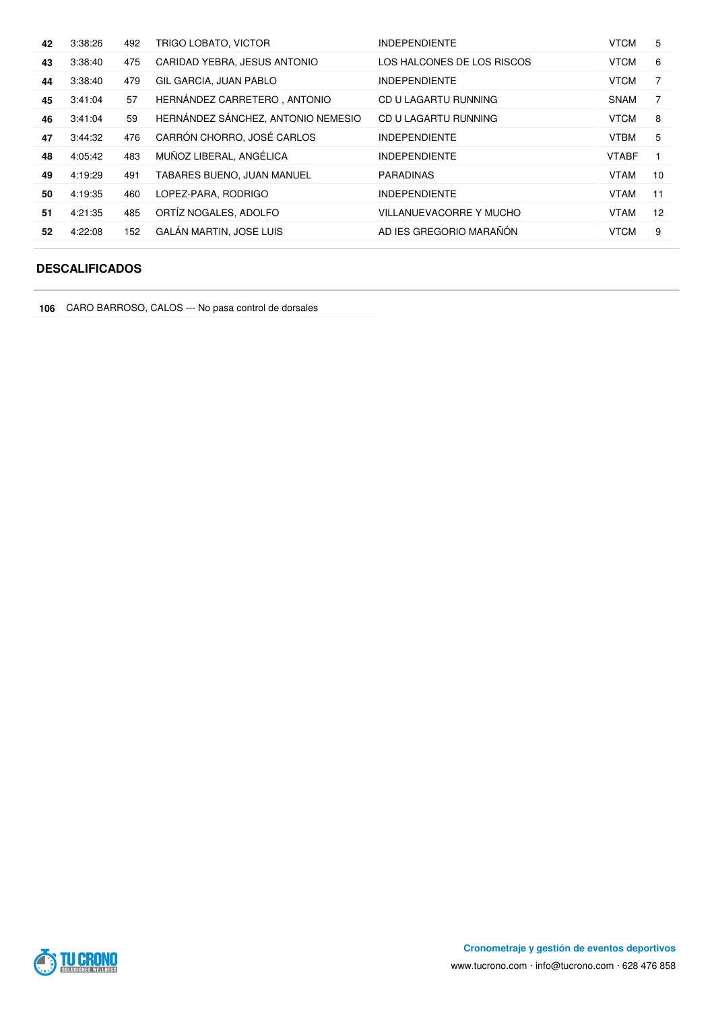| 42 | 3:38:26 | 492 | TRIGO LOBATO, VICTOR               | <b>INDEPENDIENTE</b>       | <b>VTCM</b>  | 5  |
|----|---------|-----|------------------------------------|----------------------------|--------------|----|
| 43 | 3:38:40 | 475 | CARIDAD YEBRA, JESUS ANTONIO       | LOS HALCONES DE LOS RISCOS | <b>VTCM</b>  | 6  |
| 44 | 3:38:40 | 479 | GIL GARCIA, JUAN PABLO             | <b>INDEPENDIENTE</b>       | <b>VTCM</b>  |    |
| 45 | 3:41:04 | 57  | HERNÁNDEZ CARRETERO, ANTONIO       | CD U LAGARTU RUNNING       | SNAM         | 7  |
| 46 | 3:41:04 | 59  | HERNÁNDEZ SÁNCHEZ, ANTONIO NEMESIO | CD U LAGARTU RUNNING       | <b>VTCM</b>  | 8  |
| 47 | 3:44:32 | 476 | CARRÓN CHORRO, JOSÉ CARLOS         | <b>INDEPENDIENTE</b>       | <b>VTBM</b>  | 5  |
| 48 | 4:05:42 | 483 | MUÑOZ LIBERAL, ANGÉLICA            | <b>INDEPENDIENTE</b>       | <b>VTABF</b> |    |
| 49 | 4:19:29 | 491 | TABARES BUENO, JUAN MANUEL         | <b>PARADINAS</b>           | <b>VTAM</b>  | 10 |
| 50 | 4:19:35 | 460 | LOPEZ-PARA, RODRIGO                | <b>INDEPENDIENTE</b>       | <b>VTAM</b>  | 11 |
| 51 | 4:21:35 | 485 | ORTÍZ NOGALES, ADOLFO              | VILLANUEVACORRE Y MUCHO    | <b>VTAM</b>  | 12 |
| 52 | 4:22:08 | 152 | <b>GALÁN MARTIN, JOSE LUIS</b>     | AD IES GREGORIO MARAÑÓN    | <b>VTCM</b>  | 9  |

#### **DESCALIFICADOS**

CARO BARROSO, CALOS --- No pasa control de dorsales

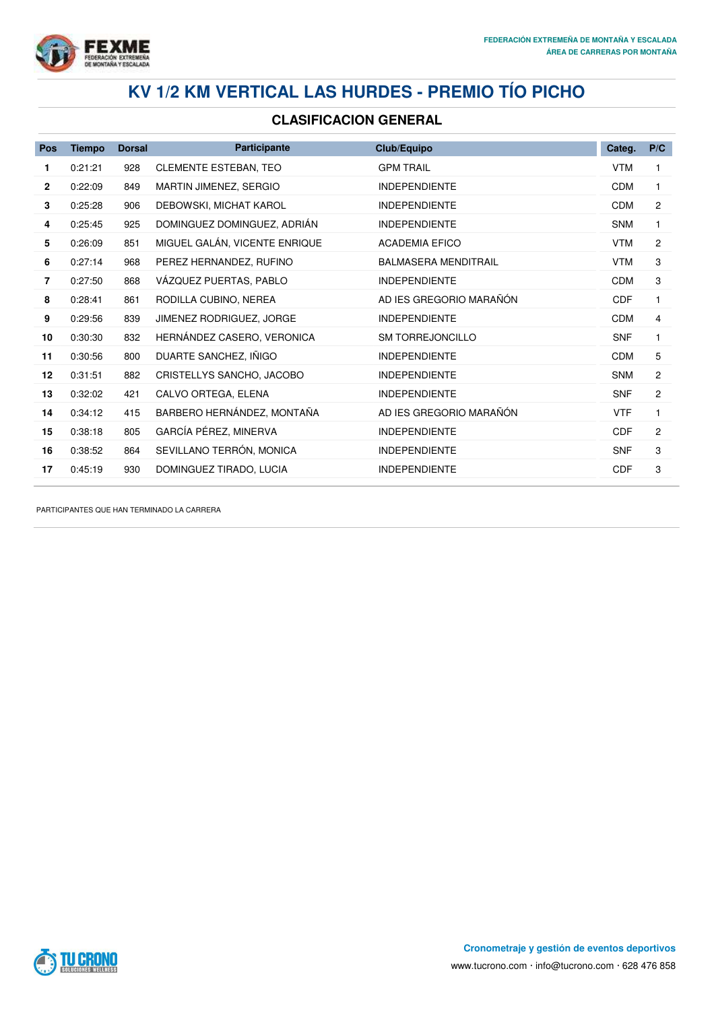

# **KV 1/2 KM VERTICAL LAS HURDES - PREMIO TÍO PICHO**

#### **CLASIFICACION GENERAL**

| Pos            | <b>Tiempo</b> | <b>Dorsal</b> | <b>Participante</b>           | Club/Equipo                 | Categ.     | P/C            |
|----------------|---------------|---------------|-------------------------------|-----------------------------|------------|----------------|
| 1              | 0:21:21       | 928           | <b>CLEMENTE ESTEBAN, TEO</b>  | <b>GPM TRAIL</b>            | <b>VTM</b> |                |
| $\overline{2}$ | 0:22:09       | 849           | MARTIN JIMENEZ, SERGIO        | <b>INDEPENDIENTE</b>        | <b>CDM</b> | $\mathbf{1}$   |
| 3              | 0:25:28       | 906           | DEBOWSKI, MICHAT KAROL        | <b>INDEPENDIENTE</b>        | CDM        | $\overline{2}$ |
| 4              | 0:25:45       | 925           | DOMINGUEZ DOMINGUEZ, ADRIAN   | <b>INDEPENDIENTE</b>        | <b>SNM</b> | 1              |
| 5              | 0:26:09       | 851           | MIGUEL GALÁN, VICENTE ENRIQUE | <b>ACADEMIA EFICO</b>       | <b>VTM</b> | $\overline{2}$ |
| 6              | 0:27:14       | 968           | PEREZ HERNANDEZ, RUFINO       | <b>BALMASERA MENDITRAIL</b> | <b>VTM</b> | 3              |
| 7              | 0:27:50       | 868           | VÁZQUEZ PUERTAS, PABLO        | <b>INDEPENDIENTE</b>        | <b>CDM</b> | 3              |
| 8              | 0:28:41       | 861           | RODILLA CUBINO, NEREA         | AD IES GREGORIO MARAÑÓN     | <b>CDF</b> | $\mathbf{1}$   |
| 9              | 0:29:56       | 839           | JIMENEZ RODRIGUEZ, JORGE      | <b>INDEPENDIENTE</b>        | CDM        | 4              |
| 10             | 0:30:30       | 832           | HERNÁNDEZ CASERO, VERONICA    | <b>SM TORREJONCILLO</b>     | <b>SNF</b> | $\mathbf{1}$   |
| 11             | 0:30:56       | 800           | DUARTE SANCHEZ, IÑIGO         | <b>INDEPENDIENTE</b>        | <b>CDM</b> | 5              |
| 12             | 0:31:51       | 882           | CRISTELLYS SANCHO, JACOBO     | <b>INDEPENDIENTE</b>        | <b>SNM</b> | $\overline{2}$ |
| 13             | 0:32:02       | 421           | CALVO ORTEGA, ELENA           | <b>INDEPENDIENTE</b>        | <b>SNF</b> | $\overline{2}$ |
| 14             | 0:34:12       | 415           | BARBERO HERNÁNDEZ, MONTAÑA    | AD IES GREGORIO MARAÑÓN     | <b>VTF</b> | $\mathbf{1}$   |
| 15             | 0:38:18       | 805           | GARCÍA PÉREZ, MINERVA         | <b>INDEPENDIENTE</b>        | <b>CDF</b> | $\overline{2}$ |
| 16             | 0:38:52       | 864           | SEVILLANO TERRÓN, MONICA      | <b>INDEPENDIENTE</b>        | <b>SNF</b> | 3              |
| 17             | 0:45:19       | 930           | DOMINGUEZ TIRADO, LUCIA       | <b>INDEPENDIENTE</b>        | CDF        | 3              |

PARTICIPANTES QUE HAN TERMINADO LA CARRERA